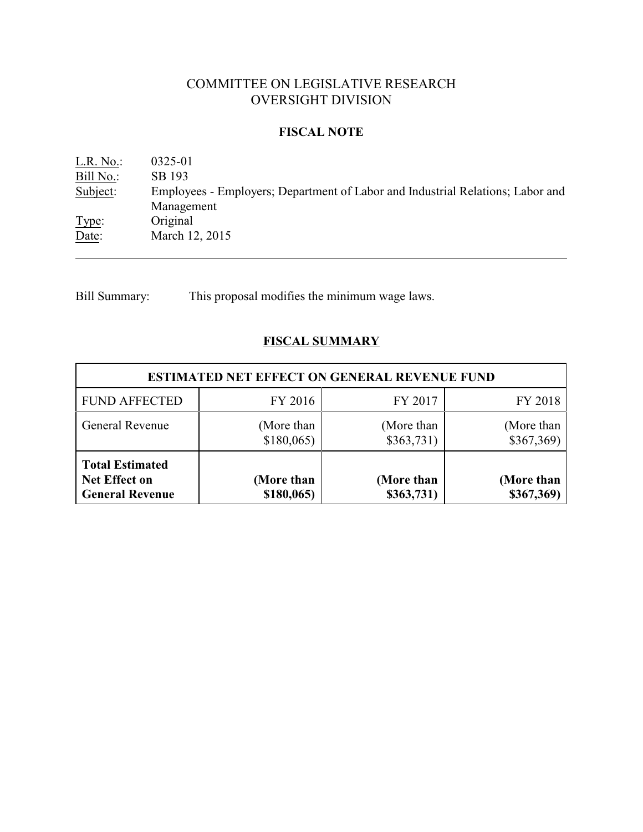# COMMITTEE ON LEGISLATIVE RESEARCH OVERSIGHT DIVISION

## **FISCAL NOTE**

L.R. No.: 0325-01<br>Bill No.: SB 193 Bill No.:<br>Subject: Employees - Employers; Department of Labor and Industrial Relations; Labor and Management Type: Original Date: March 12, 2015

Bill Summary: This proposal modifies the minimum wage laws.

## **FISCAL SUMMARY**

| <b>ESTIMATED NET EFFECT ON GENERAL REVENUE FUND</b>               |                            |                          |                          |  |
|-------------------------------------------------------------------|----------------------------|--------------------------|--------------------------|--|
| <b>FUND AFFECTED</b>                                              | FY 2016                    | FY 2017                  | FY 2018                  |  |
| General Revenue                                                   | (More than<br>$$180,065$ ) | (More than<br>\$363,731) | (More than<br>\$367,369) |  |
| <b>Total Estimated</b><br>Net Effect on<br><b>General Revenue</b> | (More than<br>$$180,065$ ) | (More than<br>\$363,731) | (More than<br>\$367,369) |  |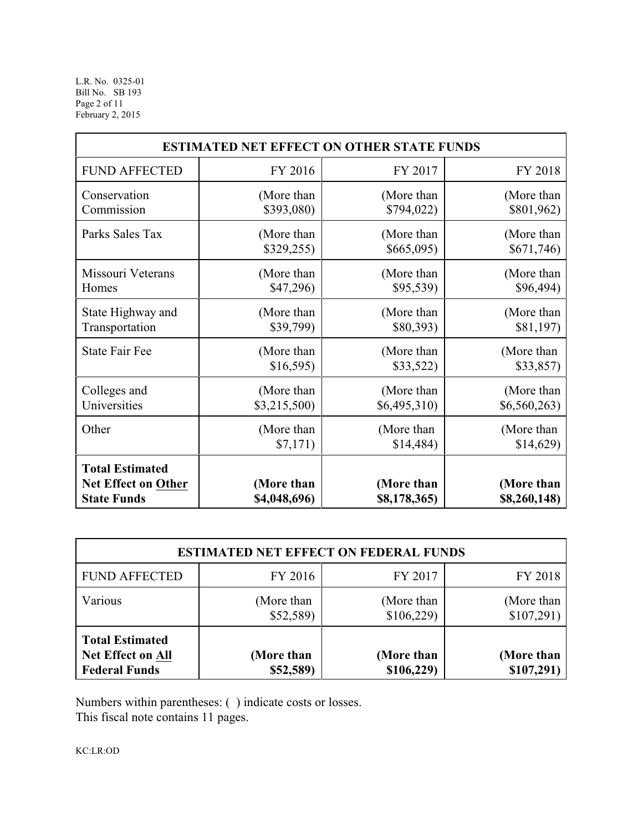L.R. No. 0325-01 Bill No. SB 193 Page 2 of 11 February 2, 2015

| <b>ESTIMATED NET EFFECT ON OTHER STATE FUNDS</b>                    |                            |                            |                            |  |
|---------------------------------------------------------------------|----------------------------|----------------------------|----------------------------|--|
| <b>FUND AFFECTED</b>                                                | FY 2016                    | FY 2017                    | FY 2018                    |  |
| Conservation                                                        | (More than                 | (More than                 | (More than                 |  |
| Commission                                                          | \$393,080)                 | \$794,022)                 | \$801,962)                 |  |
| Parks Sales Tax                                                     | (More than                 | (More than                 | (More than                 |  |
|                                                                     | \$329,255)                 | \$665,095)                 | \$671,746                  |  |
| Missouri Veterans                                                   | (More than                 | (More than                 | (More than                 |  |
| Homes                                                               | \$47,296                   | \$95,539)                  | \$96,494)                  |  |
| State Highway and                                                   | (More than                 | (More than                 | (More than                 |  |
| Transportation                                                      | \$39,799)                  | \$80,393)                  | \$81,197                   |  |
| <b>State Fair Fee</b>                                               | (More than                 | (More than                 | (More than                 |  |
|                                                                     | \$16,595                   | \$33,522)                  | \$33,857)                  |  |
| Colleges and                                                        | (More than                 | (More than                 | (More than                 |  |
| Universities                                                        | \$3,215,500                | \$6,495,310)               | \$6,560,263)               |  |
| Other                                                               | (More than                 | (More than                 | (More than                 |  |
|                                                                     | \$7,171)                   | \$14,484                   | \$14,629                   |  |
| <b>Total Estimated</b><br>Net Effect on Other<br><b>State Funds</b> | (More than<br>\$4,048,696) | (More than<br>\$8,178,365) | (More than<br>\$8,260,148) |  |

| <b>ESTIMATED NET EFFECT ON FEDERAL FUNDS</b>                               |                         |                          |                          |  |
|----------------------------------------------------------------------------|-------------------------|--------------------------|--------------------------|--|
| <b>FUND AFFECTED</b>                                                       | FY 2016                 | FY 2017                  | FY 2018                  |  |
| Various                                                                    | (More than<br>\$52,589  | (More than<br>\$106,229  | (More than<br>\$107,291) |  |
| <b>Total Estimated</b><br><b>Net Effect on All</b><br><b>Federal Funds</b> | (More than<br>\$52,589) | (More than<br>\$106,229) | (More than<br>\$107,291) |  |

Numbers within parentheses: ( ) indicate costs or losses.

This fiscal note contains 11 pages.

KC:LR:OD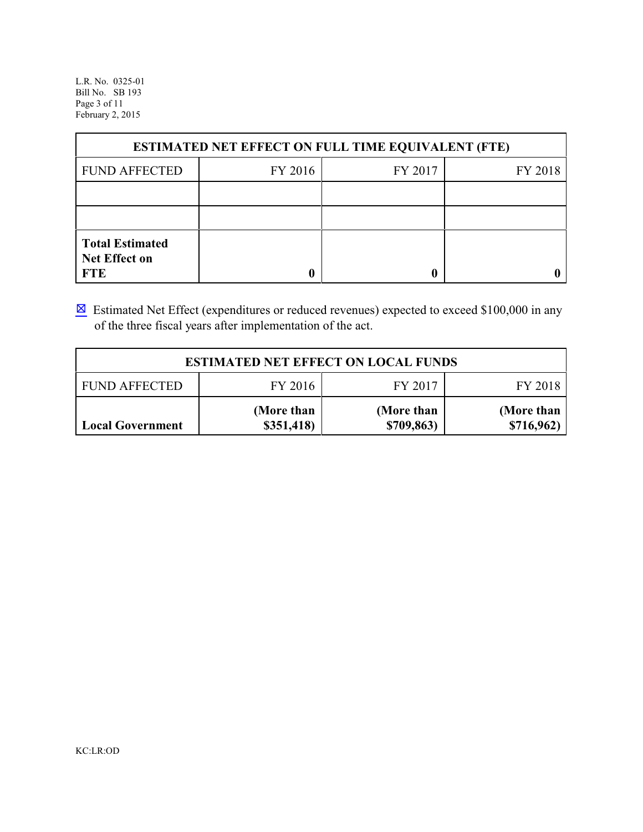L.R. No. 0325-01 Bill No. SB 193 Page 3 of 11 February 2, 2015

| <b>ESTIMATED NET EFFECT ON FULL TIME EQUIVALENT (FTE)</b>    |         |         |         |  |  |
|--------------------------------------------------------------|---------|---------|---------|--|--|
| <b>FUND AFFECTED</b>                                         | FY 2016 | FY 2017 | FY 2018 |  |  |
|                                                              |         |         |         |  |  |
|                                                              |         |         |         |  |  |
| <b>Total Estimated</b><br><b>Net Effect on</b><br><b>FTE</b> | 0       |         |         |  |  |

 $\boxtimes$  Estimated Net Effect (expenditures or reduced revenues) expected to exceed \$100,000 in any of the three fiscal years after implementation of the act.

| <b>ESTIMATED NET EFFECT ON LOCAL FUNDS</b>            |                          |                          |                          |  |  |  |
|-------------------------------------------------------|--------------------------|--------------------------|--------------------------|--|--|--|
| FY 2016<br>FY 2017<br><b>FUND AFFECTED</b><br>FY 2018 |                          |                          |                          |  |  |  |
| <b>Local Government</b>                               | (More than<br>\$351,418) | (More than<br>\$709,863) | (More than<br>\$716,962) |  |  |  |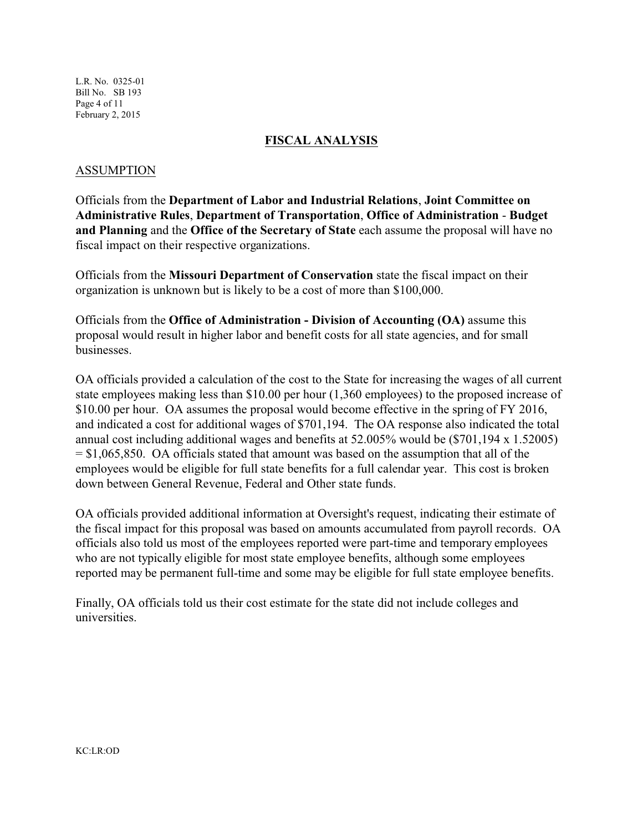L.R. No. 0325-01 Bill No. SB 193 Page 4 of 11 February 2, 2015

## **FISCAL ANALYSIS**

#### ASSUMPTION

Officials from the **Department of Labor and Industrial Relations**, **Joint Committee on Administrative Rules**, **Department of Transportation**, **Office of Administration** - **Budget and Planning** and the **Office of the Secretary of State** each assume the proposal will have no fiscal impact on their respective organizations.

Officials from the **Missouri Department of Conservation** state the fiscal impact on their organization is unknown but is likely to be a cost of more than \$100,000.

Officials from the **Office of Administration - Division of Accounting (OA)** assume this proposal would result in higher labor and benefit costs for all state agencies, and for small businesses.

OA officials provided a calculation of the cost to the State for increasing the wages of all current state employees making less than \$10.00 per hour (1,360 employees) to the proposed increase of \$10.00 per hour. OA assumes the proposal would become effective in the spring of FY 2016, and indicated a cost for additional wages of \$701,194. The OA response also indicated the total annual cost including additional wages and benefits at 52.005% would be (\$701,194 x 1.52005)  $=$  \$1,065,850. OA officials stated that amount was based on the assumption that all of the employees would be eligible for full state benefits for a full calendar year. This cost is broken down between General Revenue, Federal and Other state funds.

OA officials provided additional information at Oversight's request, indicating their estimate of the fiscal impact for this proposal was based on amounts accumulated from payroll records. OA officials also told us most of the employees reported were part-time and temporary employees who are not typically eligible for most state employee benefits, although some employees reported may be permanent full-time and some may be eligible for full state employee benefits.

Finally, OA officials told us their cost estimate for the state did not include colleges and universities.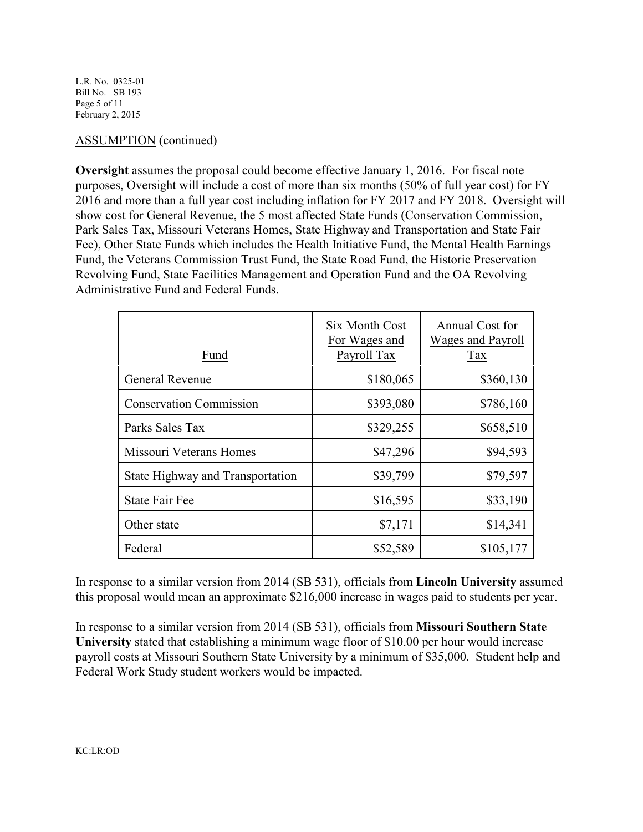L.R. No. 0325-01 Bill No. SB 193 Page 5 of 11 February 2, 2015

## ASSUMPTION (continued)

**Oversight** assumes the proposal could become effective January 1, 2016. For fiscal note purposes, Oversight will include a cost of more than six months (50% of full year cost) for FY 2016 and more than a full year cost including inflation for FY 2017 and FY 2018. Oversight will show cost for General Revenue, the 5 most affected State Funds (Conservation Commission, Park Sales Tax, Missouri Veterans Homes, State Highway and Transportation and State Fair Fee), Other State Funds which includes the Health Initiative Fund, the Mental Health Earnings Fund, the Veterans Commission Trust Fund, the State Road Fund, the Historic Preservation Revolving Fund, State Facilities Management and Operation Fund and the OA Revolving Administrative Fund and Federal Funds.

| Fund                             | Six Month Cost<br>For Wages and<br>Payroll Tax | Annual Cost for<br><b>Wages and Payroll</b><br>Tax |
|----------------------------------|------------------------------------------------|----------------------------------------------------|
| <b>General Revenue</b>           | \$180,065                                      | \$360,130                                          |
| <b>Conservation Commission</b>   | \$393,080                                      | \$786,160                                          |
| Parks Sales Tax                  | \$329,255                                      | \$658,510                                          |
| Missouri Veterans Homes          | \$47,296                                       | \$94,593                                           |
| State Highway and Transportation | \$39,799                                       | \$79,597                                           |
| <b>State Fair Fee</b>            | \$16,595                                       | \$33,190                                           |
| Other state                      | \$7,171                                        | \$14,341                                           |
| Federal                          | \$52,589                                       | \$105,177                                          |

In response to a similar version from 2014 (SB 531), officials from **Lincoln University** assumed this proposal would mean an approximate \$216,000 increase in wages paid to students per year.

In response to a similar version from 2014 (SB 531), officials from **Missouri Southern State University** stated that establishing a minimum wage floor of \$10.00 per hour would increase payroll costs at Missouri Southern State University by a minimum of \$35,000. Student help and Federal Work Study student workers would be impacted.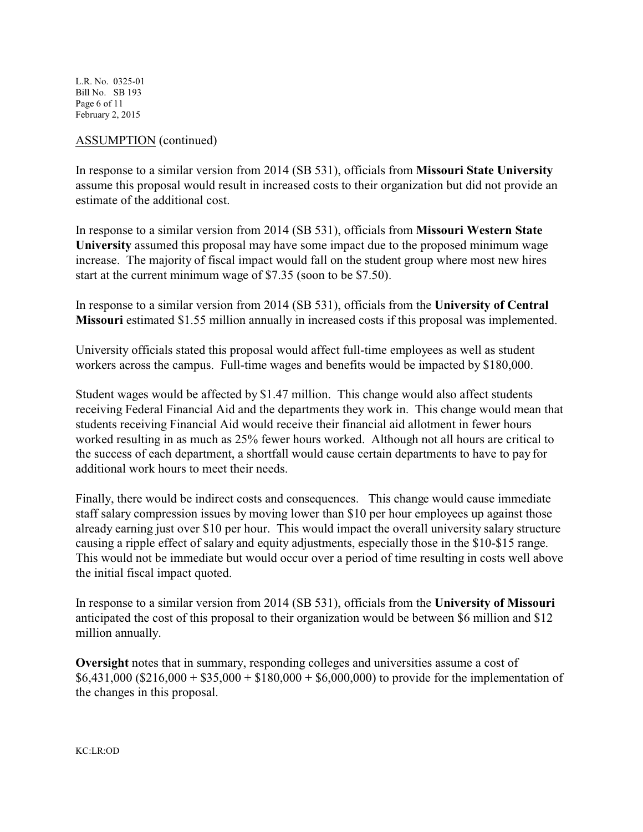L.R. No. 0325-01 Bill No. SB 193 Page 6 of 11 February 2, 2015

## ASSUMPTION (continued)

In response to a similar version from 2014 (SB 531), officials from **Missouri State University** assume this proposal would result in increased costs to their organization but did not provide an estimate of the additional cost.

In response to a similar version from 2014 (SB 531), officials from **Missouri Western State University** assumed this proposal may have some impact due to the proposed minimum wage increase. The majority of fiscal impact would fall on the student group where most new hires start at the current minimum wage of \$7.35 (soon to be \$7.50).

In response to a similar version from 2014 (SB 531), officials from the **University of Central Missouri** estimated \$1.55 million annually in increased costs if this proposal was implemented.

University officials stated this proposal would affect full-time employees as well as student workers across the campus. Full-time wages and benefits would be impacted by \$180,000.

Student wages would be affected by \$1.47 million. This change would also affect students receiving Federal Financial Aid and the departments they work in. This change would mean that students receiving Financial Aid would receive their financial aid allotment in fewer hours worked resulting in as much as 25% fewer hours worked. Although not all hours are critical to the success of each department, a shortfall would cause certain departments to have to pay for additional work hours to meet their needs.

Finally, there would be indirect costs and consequences. This change would cause immediate staff salary compression issues by moving lower than \$10 per hour employees up against those already earning just over \$10 per hour. This would impact the overall university salary structure causing a ripple effect of salary and equity adjustments, especially those in the \$10-\$15 range. This would not be immediate but would occur over a period of time resulting in costs well above the initial fiscal impact quoted.

In response to a similar version from 2014 (SB 531), officials from the **University of Missouri** anticipated the cost of this proposal to their organization would be between \$6 million and \$12 million annually.

**Oversight** notes that in summary, responding colleges and universities assume a cost of  $$6,431,000$  (\$216,000 + \$35,000 + \$180,000 + \$6,000,000) to provide for the implementation of the changes in this proposal.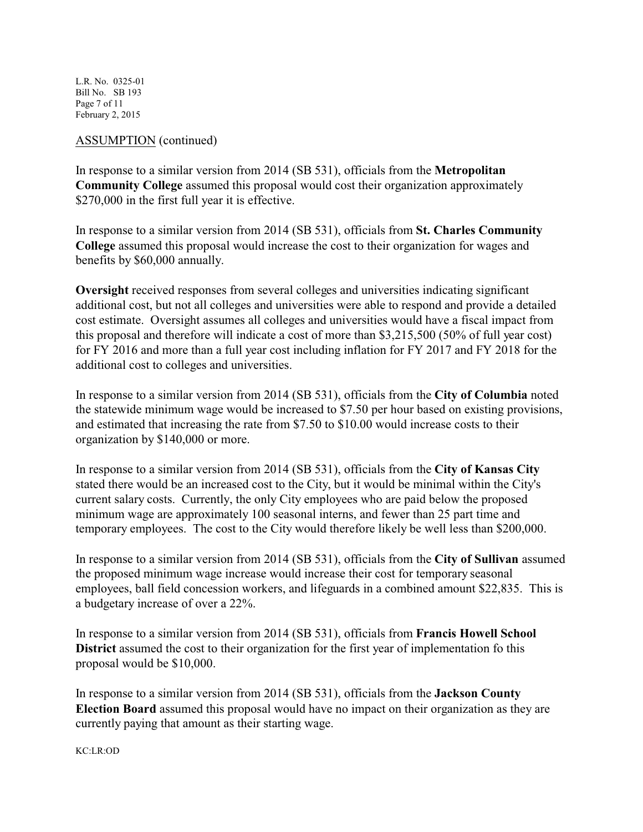L.R. No. 0325-01 Bill No. SB 193 Page 7 of 11 February 2, 2015

#### ASSUMPTION (continued)

In response to a similar version from 2014 (SB 531), officials from the **Metropolitan Community College** assumed this proposal would cost their organization approximately \$270,000 in the first full year it is effective.

In response to a similar version from 2014 (SB 531), officials from **St. Charles Community College** assumed this proposal would increase the cost to their organization for wages and benefits by \$60,000 annually.

**Oversight** received responses from several colleges and universities indicating significant additional cost, but not all colleges and universities were able to respond and provide a detailed cost estimate. Oversight assumes all colleges and universities would have a fiscal impact from this proposal and therefore will indicate a cost of more than \$3,215,500 (50% of full year cost) for FY 2016 and more than a full year cost including inflation for FY 2017 and FY 2018 for the additional cost to colleges and universities.

In response to a similar version from 2014 (SB 531), officials from the **City of Columbia** noted the statewide minimum wage would be increased to \$7.50 per hour based on existing provisions, and estimated that increasing the rate from \$7.50 to \$10.00 would increase costs to their organization by \$140,000 or more.

In response to a similar version from 2014 (SB 531), officials from the **City of Kansas City** stated there would be an increased cost to the City, but it would be minimal within the City's current salary costs. Currently, the only City employees who are paid below the proposed minimum wage are approximately 100 seasonal interns, and fewer than 25 part time and temporary employees. The cost to the City would therefore likely be well less than \$200,000.

In response to a similar version from 2014 (SB 531), officials from the **City of Sullivan** assumed the proposed minimum wage increase would increase their cost for temporary seasonal employees, ball field concession workers, and lifeguards in a combined amount \$22,835. This is a budgetary increase of over a 22%.

In response to a similar version from 2014 (SB 531), officials from **Francis Howell School District** assumed the cost to their organization for the first year of implementation fo this proposal would be \$10,000.

In response to a similar version from 2014 (SB 531), officials from the **Jackson County Election Board** assumed this proposal would have no impact on their organization as they are currently paying that amount as their starting wage.

KC:LR:OD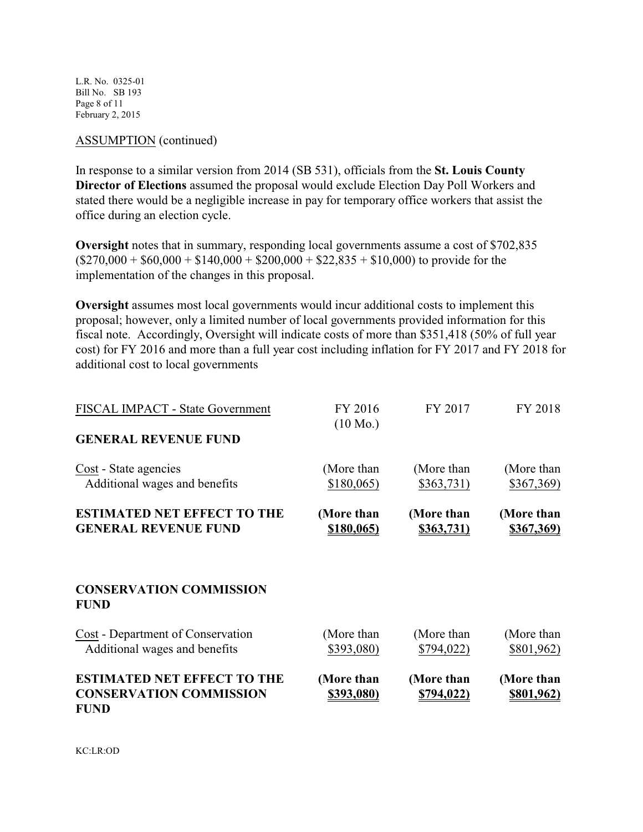L.R. No. 0325-01 Bill No. SB 193 Page 8 of 11 February 2, 2015

#### ASSUMPTION (continued)

In response to a similar version from 2014 (SB 531), officials from the **St. Louis County Director of Elections** assumed the proposal would exclude Election Day Poll Workers and stated there would be a negligible increase in pay for temporary office workers that assist the office during an election cycle.

**Oversight** notes that in summary, responding local governments assume a cost of \$702,835  $($270,000 + $60,000 + $140,000 + $200,000 + $22,835 + $10,000)$  to provide for the implementation of the changes in this proposal.

**Oversight** assumes most local governments would incur additional costs to implement this proposal; however, only a limited number of local governments provided information for this fiscal note. Accordingly, Oversight will indicate costs of more than \$351,418 (50% of full year cost) for FY 2016 and more than a full year cost including inflation for FY 2017 and FY 2018 for additional cost to local governments

| FISCAL IMPACT - State Government<br><b>GENERAL REVENUE FUND</b>                     | FY 2016<br>$(10 \text{ Mo.})$   | FY 2017                  | FY 2018                         |
|-------------------------------------------------------------------------------------|---------------------------------|--------------------------|---------------------------------|
| Cost - State agencies                                                               | (More than                      | (More than               | (More than                      |
| Additional wages and benefits                                                       | \$180,065                       | \$363,731)               | \$367,369)                      |
| <b>ESTIMATED NET EFFECT TO THE</b><br><b>GENERAL REVENUE FUND</b>                   | (More than<br><u>\$180,065)</u> | (More than<br>\$363,731) | (More than<br>\$367,369)        |
| <b>CONSERVATION COMMISSION</b><br><b>FUND</b>                                       |                                 |                          |                                 |
| Cost - Department of Conservation<br>Additional wages and benefits                  | (More than<br>\$393,080)        | (More than<br>\$794,022) | (More than<br>\$801,962)        |
| <b>ESTIMATED NET EFFECT TO THE</b><br><b>CONSERVATION COMMISSION</b><br><b>FUND</b> | (More than<br><u>\$393,080)</u> | (More than<br>\$794,022) | (More than<br><u>\$801,962)</u> |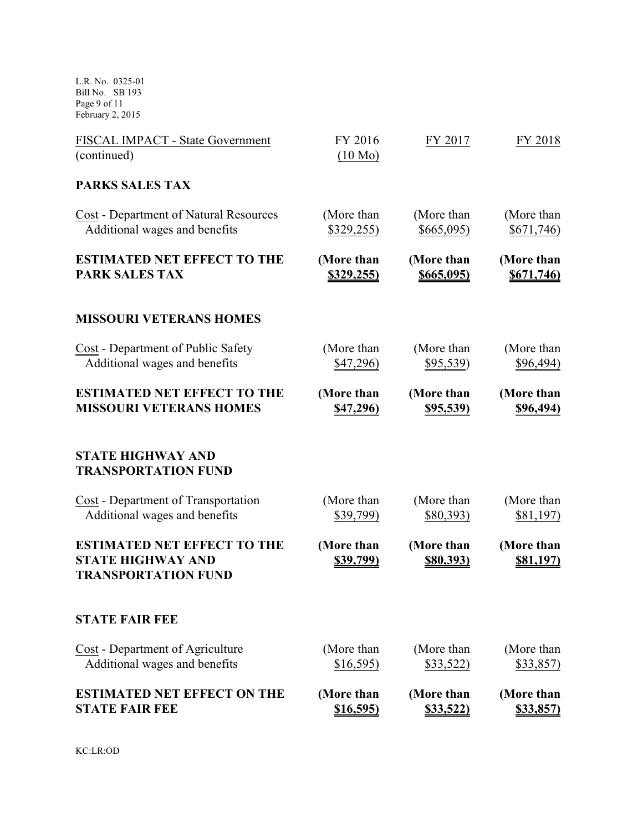L.R. No. 0325-01 Bill No. SB 193 Page 9 of 11 February 2, 2015

| FISCAL IMPACT - State Government<br>(continued)                                              | FY 2016<br>(10 M <sub>0</sub> ) | FY 2017                        | FY 2018                        |
|----------------------------------------------------------------------------------------------|---------------------------------|--------------------------------|--------------------------------|
| <b>PARKS SALES TAX</b>                                                                       |                                 |                                |                                |
| <b>Cost</b> - Department of Natural Resources                                                | (More than                      | (More than                     | (More than                     |
| Additional wages and benefits                                                                | \$329,255)                      | \$665,095)                     | \$671,746)                     |
| <b>ESTIMATED NET EFFECT TO THE</b>                                                           | (More than                      | (More than                     | (More than                     |
| <b>PARK SALES TAX</b>                                                                        | <u>\$329,255)</u>               | \$665,095)                     | \$671,746)                     |
| <b>MISSOURI VETERANS HOMES</b>                                                               |                                 |                                |                                |
| Cost - Department of Public Safety                                                           | (More than                      | (More than                     | (More than                     |
| Additional wages and benefits                                                                | \$47,296)                       | \$95,539                       | \$96,494)                      |
| <b>ESTIMATED NET EFFECT TO THE</b>                                                           | (More than                      | (More than                     | (More than                     |
| <b>MISSOURI VETERANS HOMES</b>                                                               | \$47,296)                       | <u>\$95,539)</u>               | \$96,494)                      |
| <b>STATE HIGHWAY AND</b><br><b>TRANSPORTATION FUND</b>                                       |                                 |                                |                                |
| <b>Cost</b> - Department of Transportation                                                   | (More than                      | (More than                     | (More than                     |
| Additional wages and benefits                                                                | \$39,799)                       | \$80,393)                      | <u>\$81,197)</u>               |
| <b>ESTIMATED NET EFFECT TO THE</b><br><b>STATE HIGHWAY AND</b><br><b>TRANSPORTATION FUND</b> | (More than<br><u>\$39,799)</u>  | (More than<br><u>\$80,393)</u> | (More than<br><u>\$81,197)</u> |
| <b>STATE FAIR FEE</b>                                                                        |                                 |                                |                                |
| Cost - Department of Agriculture                                                             | (More than                      | (More than                     | (More than                     |
| Additional wages and benefits                                                                | \$16,595)                       | \$33,522)                      | \$33,857)                      |
| <b>ESTIMATED NET EFFECT ON THE</b>                                                           | (More than                      | (More than                     | (More than                     |
| <b>STATE FAIR FEE</b>                                                                        | <u>\$16,595)</u>                | \$33,522)                      | <u>\$33,857)</u>               |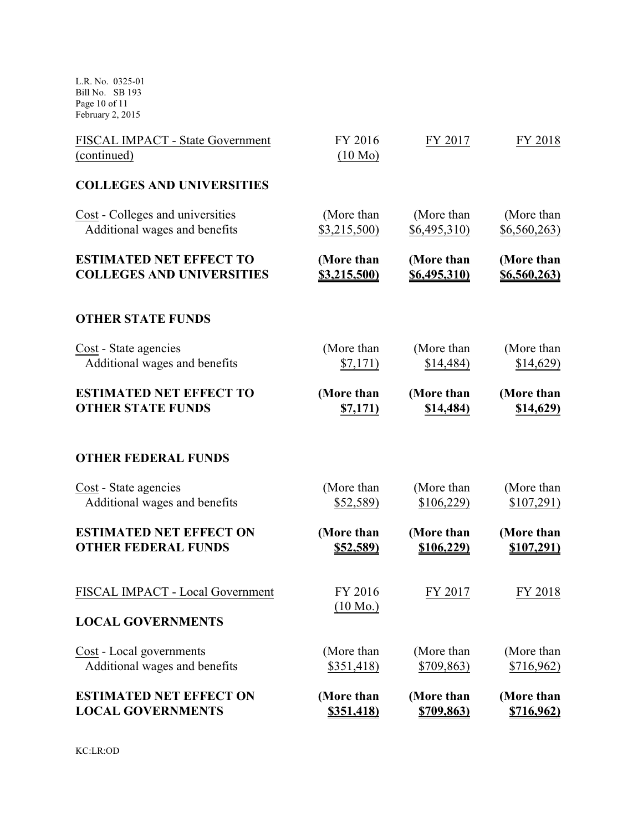L.R. No. 0325-01 Bill No. SB 193 Page 10 of 11 February 2, 2015

| <b>ESTIMATED NET EFFECT ON</b>                                                           | (More than                      | (More than              | (More than               |
|------------------------------------------------------------------------------------------|---------------------------------|-------------------------|--------------------------|
| <b>LOCAL GOVERNMENTS</b>                                                                 | <u>\$351,418)</u>               | <u>\$709,863)</u>       | <u>\$716,962)</u>        |
| Cost - Local governments                                                                 | (More than                      | (More than              | (More than               |
| Additional wages and benefits                                                            | \$351,418                       | \$709,863)              | \$716,962)               |
| FISCAL IMPACT - Local Government<br><b>LOCAL GOVERNMENTS</b>                             | FY 2016<br>$(10 \text{ Mo.})$   | FY 2017                 | FY 2018                  |
| <b>OTHER FEDERAL FUNDS</b>                                                               | (More than                      | (More than              | (More than               |
|                                                                                          | <u>\$52,589)</u>                | <u>\$106,229)</u>       | <u>\$107,291)</u>        |
| Cost - State agencies<br>Additional wages and benefits<br><b>ESTIMATED NET EFFECT ON</b> | (More than<br>\$52,589)         | (More than<br>\$106,229 | (More than<br>\$107,291) |
| <b>OTHER FEDERAL FUNDS</b>                                                               |                                 |                         |                          |
| <b>ESTIMATED NET EFFECT TO</b>                                                           | (More than                      | (More than              | (More than               |
| <b>OTHER STATE FUNDS</b>                                                                 | <u>\$7,171)</u>                 | <u>\$14,484)</u>        | <u>\$14,629)</u>         |
| Cost - State agencies                                                                    | (More than                      | (More than              | (More than               |
| Additional wages and benefits                                                            | \$7,171)                        | \$14,484)               | \$14,629                 |
| <b>OTHER STATE FUNDS</b>                                                                 |                                 |                         |                          |
| <b>ESTIMATED NET EFFECT TO</b>                                                           | (More than                      | (More than              | (More than               |
| <b>COLLEGES AND UNIVERSITIES</b>                                                         | <b>\$3,215,500)</b>             | <u>\$6,495,310)</u>     | \$6,560,263)             |
| Cost - Colleges and universities                                                         | (More than                      | (More than              | (More than               |
| Additional wages and benefits                                                            | \$3,215,500                     | \$6,495,310             | \$6,560,263)             |
| <b>COLLEGES AND UNIVERSITIES</b>                                                         |                                 |                         |                          |
| FISCAL IMPACT - State Government<br>(continued)                                          | FY 2016<br>(10 M <sub>0</sub> ) | FY 2017                 | FY 2018                  |